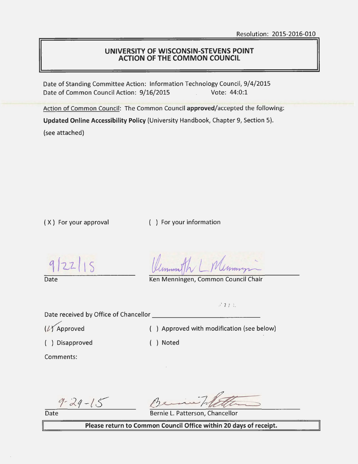#### **UNIVERSITY OF WISCONSIN-STEVENS POINT ACTION OF THE COMMON COUNCIL**

Date of Standing Committee Action: Information Technology Council, 9/4/2015 Date of Common Council Action: 9/16/2015 Vote: 44:0:1

Action of Common Council: The Common Council approved/accepted the following:

**Updated Online Accessibility Policy** {University Handbook, Chapter 9, Section 5).

{see attached)

{ X ) For your approval { ) For your information

 $|22|15$  $|q|$ 

Date **Date Common Council Chair** Ken Menningen, Common Council Chair

 $c^2$   $2$   $7$   $10$ 

Date received by Office of Chancellor

{ ) Disapproved { ) Noted

 $(X)$  Approved  $(Y)$  Approved with modification (see below)

Comments:

 $9 - 29 - 15$ 

Date

Bernie L. Patterson, Chancellor

**Please return to Common Council Office within 20 days of receipt.**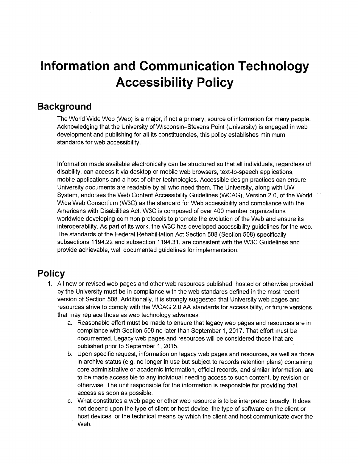# **Information and Communication Technology Accessibility Policy**

## **Background**

The World Wide Web (Web) is a major, if not a primary, source of information for many people. Acknowledging that the University of Wisconsin-Stevens Point (University) is engaged in web development and publishing for all its constituencies, this policy establishes minimum standards for web accessibility.

Information made available electronically can be structured so that all individuals, regardless of disability, can access it via desktop or mobile web browsers, text-to-speech applications, mobile applications and a host of other technologies. Accessible design practices can ensure University documents are readable by all who need them. The University, along with UW System, endorses the Web Content Accessibility Guidelines (WCAG), Version 2.0, of the World Wide Web Consortium (W3C) as the standard for Web accessibility and compliance with the Americans with Disabilities Act. W3C is composed of over 400 member organizations worldwide developing common protocols to promote the evolution of the Web and ensure its interoperability. As part of its work, the W3C has developed accessibility guidelines for the web. The standards of the Federal Rehabilitation Act Section 508 (Section 508) specifically subsections 1194.22 and subsection 1194.31, are consistent with the W3C Guidelines and provide achievable, well documented guidelines for implementation.

## **Policy**

- 1. All new or revised web pages and other web resources published, hosted or otherwise provided by the University must be in compliance with the web standards defined in the most recent version of Section 508. Additionally, it is strongly suggested that University web pages and resources strive to comply with the WCAG 2.0 AA standards for accessibility, or future versions that may replace those as web technology advances.
	- a. Reasonable effort must be made to ensure that legacy web pages and resources are in compliance with Section 508 no later than September 1, 2017. That effort must be documented. Legacy web pages and resources will be considered those that are published prior to September 1, 2015.
	- b. Upon specific request, information on legacy web pages and resources, as well as those in archive status (e.g. no longer in use but subject to records retention plans) containing core administrative or academic information, official records, and similar information, are to be made accessible to any individual needing access to such content, by revision or otherwise. The unit responsible for the information is responsible for providing that access as soon as possible.
	- c. What constitutes a web page or other web resource is to be interpreted broadly. It does not depend upon the type of client or host device, the type of software on the client or host devices, or the technical means by which the client and host communicate over the Web.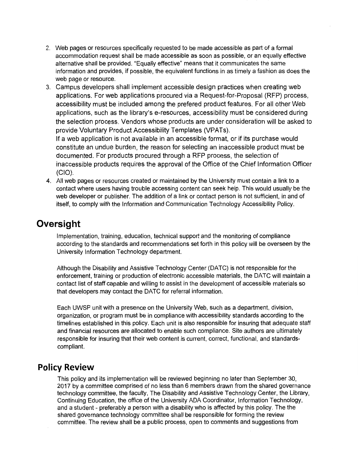- 2. Web pages or resources specifically requested to be made accessible as part of a formal accommodation request shall be made accessible as soon as possible, or an equally effective alternative shall be provided. "Equally effective" means that it communicates the same information and provides, if possible, the equivalent functions in as timely a fashion as does the web page or resource.
- 3. Campus developers shall implement accessible design practices when creating web applications. For web applications procured via a Request-for-Proposal (RFP) process, accessibility must be included among the prefered product features. For all other Web applications, such as the library's e-resources, accessibility must be considered during the selection process. Vendors whose products are under consideration will be asked to provide Voluntary Product Accessibility Templates (VPATs).

If a web application is not available in an accessible format, or if its purchase would constitute an undue burden, the reason for selecting an inaccessible product must be documented. For products procured through a RFP process, the selection of inaccessible products requires the approval of the Office of the Chief Information Officer (CIO).

4. All web pages or resources created or maintained by the University must contain a link to a contact where users having trouble accessing content can seek help. This would usually be the web developer or publisher. The addition of a link or contact person is not sufficient, in and of itself, to comply with the Information and Communication Technology Accessibility Policy.

## **Oversight**

Implementation, training, education, technical support and the monitoring of compliance according to the standards and recommendations set forth in this policy will be overseen by the University Information Technology department.

Although the Disability and Assistive Technology Center (DATC) is not responsible for the enforcement, training or production of electronic accessible materials, the DATC will maintain a contact list of staff capable and willing to assist in the development of accessible materials so that developers may contact the DATC for referral information.

Each UWSP unit with a presence on the University Web, such as a department, division, organization, or program must be in compliance with accessibility standards according to the timelines established in this policy. Each unit is also responsible for insuring that adequate staff and financial resources are allocated to enable such compliance. Site authors are ultimately responsible for insuring that their web content is current, correct, functional, and standardscompliant.

### **Policy Review**

This policy and its implementation will be reviewed beginning no later than September 30, 2017 by a committee comprised of no less than 6 members drawn from the shared governance technology committee, the faculty, The Disability and Assistive Technology Center, the Library, Continuing Education, the office of the University ADA Coordinator, Information Technology, and a student - preferably a person with a disability who is affected by this policy. The the shared governance technology committee shall be responsible for forming the review committee. The review shall be a public process, open to comments and suggestions from